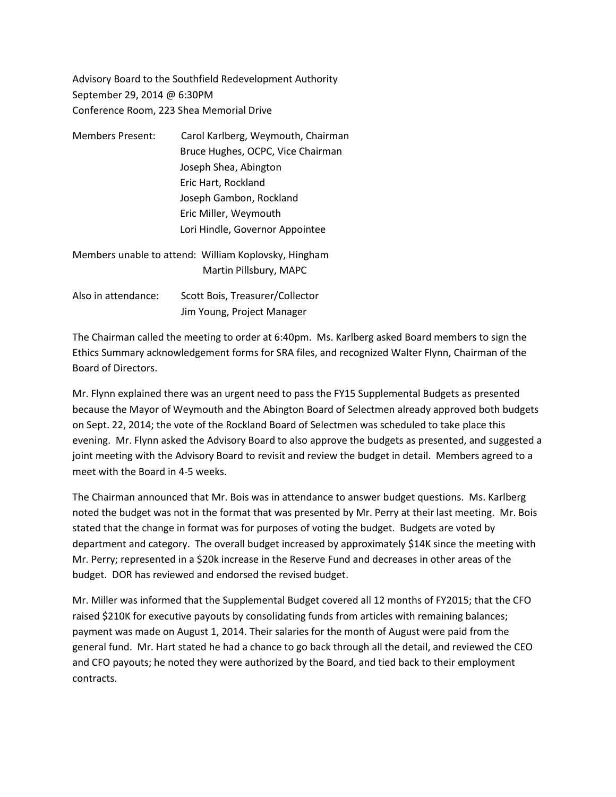Advisory Board to the Southfield Redevelopment Authority September 29, 2014 @ 6:30PM Conference Room, 223 Shea Memorial Drive

- Members Present: Carol Karlberg, Weymouth, Chairman Bruce Hughes, OCPC, Vice Chairman Joseph Shea, Abington Eric Hart, Rockland Joseph Gambon, Rockland Eric Miller, Weymouth Lori Hindle, Governor Appointee
- Members unable to attend: William Koplovsky, Hingham Martin Pillsbury, MAPC
- Also in attendance: Scott Bois, Treasurer/Collector Jim Young, Project Manager

The Chairman called the meeting to order at 6:40pm. Ms. Karlberg asked Board members to sign the Ethics Summary acknowledgement forms for SRA files, and recognized Walter Flynn, Chairman of the Board of Directors.

Mr. Flynn explained there was an urgent need to pass the FY15 Supplemental Budgets as presented because the Mayor of Weymouth and the Abington Board of Selectmen already approved both budgets on Sept. 22, 2014; the vote of the Rockland Board of Selectmen was scheduled to take place this evening. Mr. Flynn asked the Advisory Board to also approve the budgets as presented, and suggested a joint meeting with the Advisory Board to revisit and review the budget in detail. Members agreed to a meet with the Board in 4-5 weeks.

The Chairman announced that Mr. Bois was in attendance to answer budget questions. Ms. Karlberg noted the budget was not in the format that was presented by Mr. Perry at their last meeting. Mr. Bois stated that the change in format was for purposes of voting the budget. Budgets are voted by department and category. The overall budget increased by approximately \$14K since the meeting with Mr. Perry; represented in a \$20k increase in the Reserve Fund and decreases in other areas of the budget. DOR has reviewed and endorsed the revised budget.

Mr. Miller was informed that the Supplemental Budget covered all 12 months of FY2015; that the CFO raised \$210K for executive payouts by consolidating funds from articles with remaining balances; payment was made on August 1, 2014. Their salaries for the month of August were paid from the general fund. Mr. Hart stated he had a chance to go back through all the detail, and reviewed the CEO and CFO payouts; he noted they were authorized by the Board, and tied back to their employment contracts.